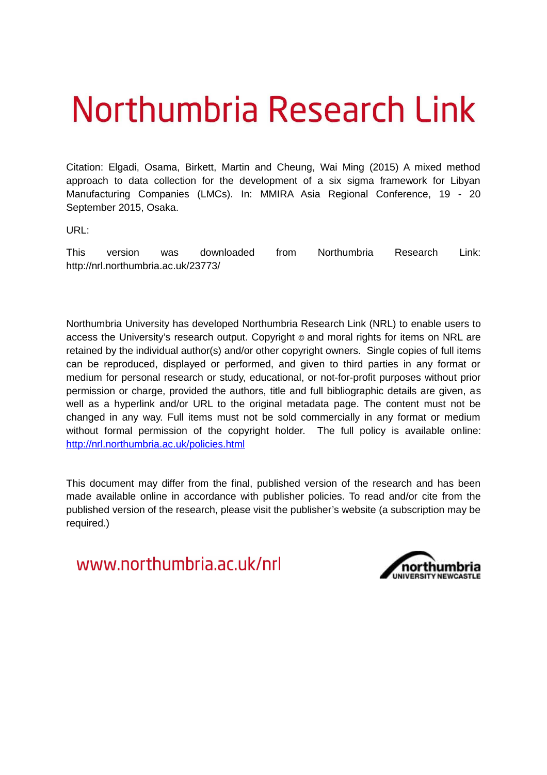# Northumbria Research Link

Citation: Elgadi, Osama, Birkett, Martin and Cheung, Wai Ming (2015) A mixed method approach to data collection for the development of a six sigma framework for Libyan Manufacturing Companies (LMCs). In: MMIRA Asia Regional Conference, 19 - 20 September 2015, Osaka.

URL:

This version was downloaded from Northumbria Research Link: http://nrl.northumbria.ac.uk/23773/

Northumbria University has developed Northumbria Research Link (NRL) to enable users to access the University's research output. Copyright  $\circ$  and moral rights for items on NRL are retained by the individual author(s) and/or other copyright owners. Single copies of full items can be reproduced, displayed or performed, and given to third parties in any format or medium for personal research or study, educational, or not-for-profit purposes without prior permission or charge, provided the authors, title and full bibliographic details are given, as well as a hyperlink and/or URL to the original metadata page. The content must not be changed in any way. Full items must not be sold commercially in any format or medium without formal permission of the copyright holder. The full policy is available online: <http://nrl.northumbria.ac.uk/policies.html>

This document may differ from the final, published version of the research and has been made available online in accordance with publisher policies. To read and/or cite from the published version of the research, please visit the publisher's website (a subscription may be required.)

<span id="page-0-1"></span><span id="page-0-0"></span>www.northumbria.ac.uk/nrl